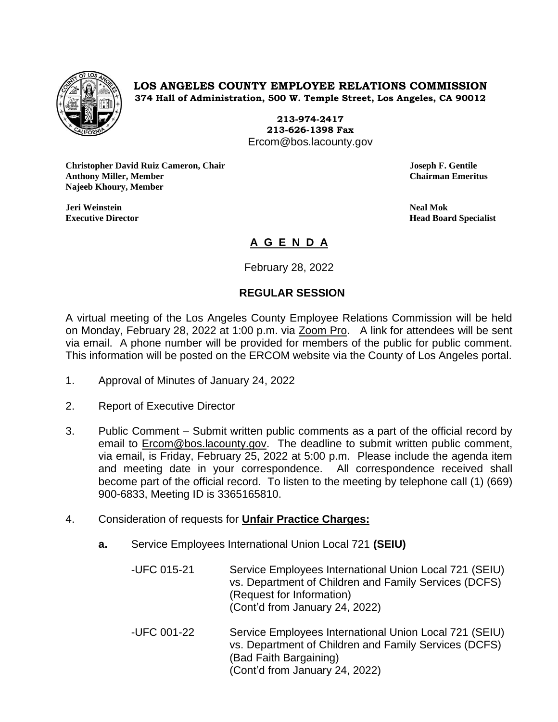

**LOS ANGELES COUNTY EMPLOYEE RELATIONS COMMISSION 374 Hall of Administration, 500 W. Temple Street, Los Angeles, CA 90012**

> **213-974-2417 213-626-1398 Fax** Ercom@bos.lacounty.gov

**Christopher David Ruiz Cameron, Chair Joseph F. Gentile Anthony Miller, Member Chairman Emeritus Najeeb Khoury, Member**

**Jeri Weinstein Neal Mok**

**Executive Director Head Board Specialist**

## **A G E N D A**

February 28, 2022

## **REGULAR SESSION**

A virtual meeting of the Los Angeles County Employee Relations Commission will be held on Monday, February 28, 2022 at 1:00 p.m. via Zoom Pro. A link for attendees will be sent via email. A phone number will be provided for members of the public for public comment. This information will be posted on the ERCOM website via the County of Los Angeles portal.

- 1. Approval of Minutes of January 24, 2022
- 2. Report of Executive Director
- 3. Public Comment Submit written public comments as a part of the official record by email to [Ercom@bos.lacounty.gov.](mailto:Ercom@bos.lacounty.gov) The deadline to submit written public comment, via email, is Friday, February 25, 2022 at 5:00 p.m. Please include the agenda item and meeting date in your correspondence. All correspondence received shall become part of the official record. To listen to the meeting by telephone call (1) (669) 900-6833, Meeting ID is 3365165810.
- 4. Consideration of requests for **Unfair Practice Charges:**
	- **a.** Service Employees International Union Local 721 **(SEIU)**
		- -UFC 015-21 Service Employees International Union Local 721 (SEIU) vs. Department of Children and Family Services (DCFS) (Request for Information) (Cont'd from January 24, 2022)
		- -UFC 001-22 Service Employees International Union Local 721 (SEIU) vs. Department of Children and Family Services (DCFS) (Bad Faith Bargaining) (Cont'd from January 24, 2022)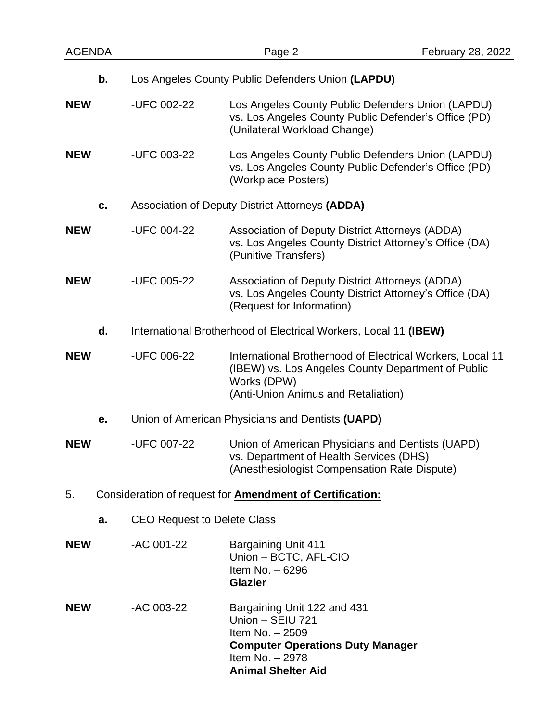| <b>AGENDA</b> |    |                                                                  | Page 2                                                                                                                                                                | <b>February 28, 2022</b> |
|---------------|----|------------------------------------------------------------------|-----------------------------------------------------------------------------------------------------------------------------------------------------------------------|--------------------------|
|               | b. | Los Angeles County Public Defenders Union (LAPDU)                |                                                                                                                                                                       |                          |
| <b>NEW</b>    |    | -UFC 002-22                                                      | Los Angeles County Public Defenders Union (LAPDU)<br>vs. Los Angeles County Public Defender's Office (PD)<br>(Unilateral Workload Change)                             |                          |
| <b>NEW</b>    |    | -UFC 003-22                                                      | Los Angeles County Public Defenders Union (LAPDU)<br>vs. Los Angeles County Public Defender's Office (PD)<br>(Workplace Posters)                                      |                          |
|               | c. | Association of Deputy District Attorneys (ADDA)                  |                                                                                                                                                                       |                          |
| <b>NEW</b>    |    | -UFC 004-22                                                      | Association of Deputy District Attorneys (ADDA)<br>vs. Los Angeles County District Attorney's Office (DA)<br>(Punitive Transfers)                                     |                          |
| <b>NEW</b>    |    | -UFC 005-22                                                      | Association of Deputy District Attorneys (ADDA)<br>vs. Los Angeles County District Attorney's Office (DA)<br>(Request for Information)                                |                          |
|               | d. | International Brotherhood of Electrical Workers, Local 11 (IBEW) |                                                                                                                                                                       |                          |
| <b>NEW</b>    |    | -UFC 006-22                                                      | International Brotherhood of Electrical Workers, Local 11<br>(IBEW) vs. Los Angeles County Department of Public<br>Works (DPW)<br>(Anti-Union Animus and Retaliation) |                          |
|               | e. | Union of American Physicians and Dentists (UAPD)                 |                                                                                                                                                                       |                          |
| <b>NEW</b>    |    | -UFC 007-22                                                      | Union of American Physicians and Dentists (UAPD)<br>vs. Department of Health Services (DHS)<br>(Anesthesiologist Compensation Rate Dispute)                           |                          |
| 5.            |    | Consideration of request for <b>Amendment of Certification:</b>  |                                                                                                                                                                       |                          |
|               | a. | <b>CEO Request to Delete Class</b>                               |                                                                                                                                                                       |                          |
| <b>NEW</b>    |    | -AC 001-22                                                       | <b>Bargaining Unit 411</b><br>Union - BCTC, AFL-CIO<br>Item No. - 6296<br><b>Glazier</b>                                                                              |                          |
| <b>NEW</b>    |    | -AC 003-22                                                       | Bargaining Unit 122 and 431<br>Union - SEIU 721<br>Item No. - 2509<br><b>Computer Operations Duty Manager</b><br>Item No. - 2978<br><b>Animal Shelter Aid</b>         |                          |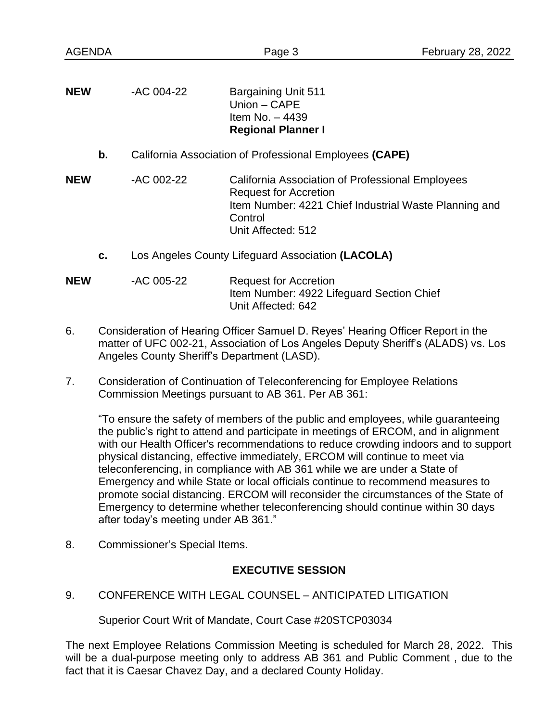| <b>NEW</b> | -AC 004-22                                              | <b>Bargaining Unit 511</b><br>Union - CAPE<br>Item No. $-4439$<br><b>Regional Planner I</b>                                                                                |  |
|------------|---------------------------------------------------------|----------------------------------------------------------------------------------------------------------------------------------------------------------------------------|--|
| b.         | California Association of Professional Employees (CAPE) |                                                                                                                                                                            |  |
| <b>NEW</b> | -AC 002-22                                              | California Association of Professional Employees<br><b>Request for Accretion</b><br>Item Number: 4221 Chief Industrial Waste Planning and<br>Control<br>Unit Affected: 512 |  |
| C.         | Los Angeles County Lifeguard Association (LACOLA)       |                                                                                                                                                                            |  |
| <b>NEW</b> | -AC 005-22                                              | <b>Request for Accretion</b><br>Item Number: 4922 Lifeguard Section Chief                                                                                                  |  |

6. Consideration of Hearing Officer Samuel D. Reyes' Hearing Officer Report in the matter of UFC 002-21, Association of Los Angeles Deputy Sheriff's (ALADS) vs. Los Angeles County Sheriff's Department (LASD).

Unit Affected: 642

7. Consideration of Continuation of Teleconferencing for Employee Relations Commission Meetings pursuant to AB 361. Per AB 361:

"To ensure the safety of members of the public and employees, while guaranteeing the public's right to attend and participate in meetings of ERCOM, and in alignment with our Health Officer's recommendations to reduce crowding indoors and to support physical distancing, effective immediately, ERCOM will continue to meet via teleconferencing, in compliance with AB 361 while we are under a State of Emergency and while State or local officials continue to recommend measures to promote social distancing. ERCOM will reconsider the circumstances of the State of Emergency to determine whether teleconferencing should continue within 30 days after today's meeting under AB 361."

8. Commissioner's Special Items.

## **EXECUTIVE SESSION**

9. CONFERENCE WITH LEGAL COUNSEL – ANTICIPATED LITIGATION

Superior Court Writ of Mandate, Court Case #20STCP03034

The next Employee Relations Commission Meeting is scheduled for March 28, 2022. This will be a dual-purpose meeting only to address AB 361 and Public Comment , due to the fact that it is Caesar Chavez Day, and a declared County Holiday.